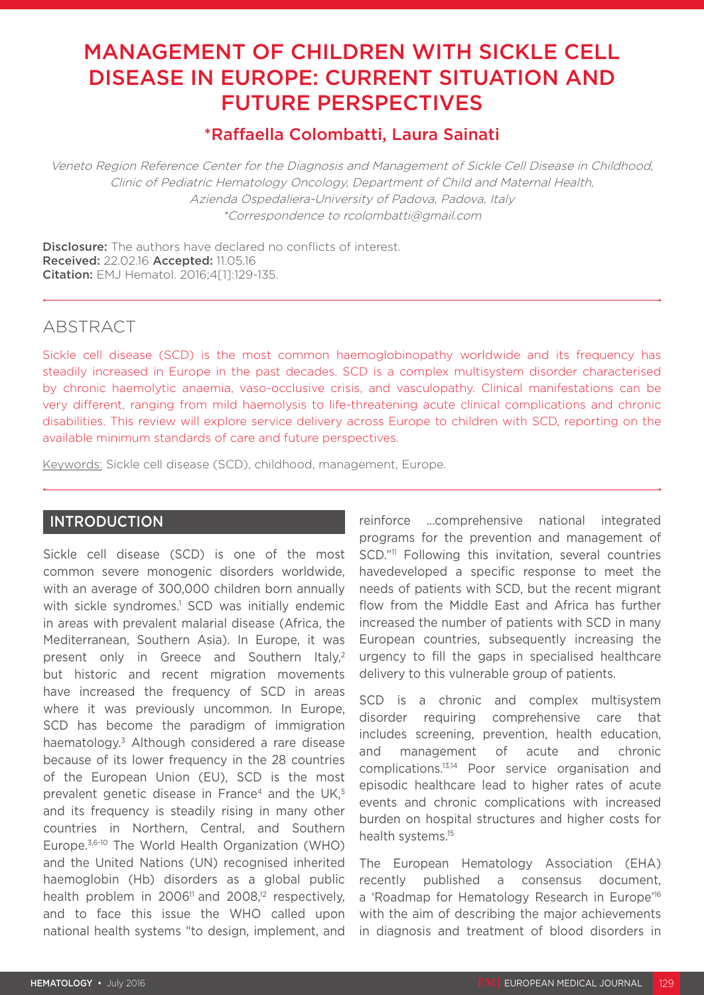# MANAGEMENT OF CHILDREN WITH SICKLE CELL DISEASE IN EUROPE: CURRENT SITUATION AND FUTURE PERSPECTIVES

# \*Raffaella Colombatti, Laura Sainati

Veneto Region Reference Center for the Diagnosis and Management of Sickle Cell Disease in Childhood, Clinic of Pediatric Hematology Oncology, Department of Child and Maternal Health, Azienda Ospedaliera-University of Padova, Padova, Italy \*Correspondence to rcolombatti@gmail.com

**Disclosure:** The authors have declared no conflicts of interest. Received: 22.02.16 Accepted: 11.05.16 Citation: EMJ Hematol. 2016;4[1]:129-135.

# ABSTRACT

Sickle cell disease (SCD) is the most common haemoglobinopathy worldwide and its frequency has steadily increased in Europe in the past decades. SCD is a complex multisystem disorder characterised by chronic haemolytic anaemia, vaso-occlusive crisis, and vasculopathy. Clinical manifestations can be very different, ranging from mild haemolysis to life-threatening acute clinical complications and chronic disabilities. This review will explore service delivery across Europe to children with SCD, reporting on the available minimum standards of care and future perspectives.

Keywords: Sickle cell disease (SCD), childhood, management, Europe.

# INTRODUCTION

Sickle cell disease (SCD) is one of the most common severe monogenic disorders worldwide, with an average of 300,000 children born annually with sickle syndromes.<sup>1</sup> SCD was initially endemic in areas with prevalent malarial disease (Africa, the Mediterranean, Southern Asia). In Europe, it was present only in Greece and Southern Italy,<sup>2</sup> but historic and recent migration movements have increased the frequency of SCD in areas where it was previously uncommon. In Europe, SCD has become the paradigm of immigration haematology.<sup>3</sup> Although considered a rare disease because of its lower frequency in the 28 countries of the European Union (EU), SCD is the most prevalent genetic disease in France<sup>4</sup> and the UK,<sup>5</sup> and its frequency is steadily rising in many other countries in Northern, Central, and Southern Europe.3,6-10 The World Health Organization (WHO) and the United Nations (UN) recognised inherited haemoglobin (Hb) disorders as a global public health problem in  $2006<sup>11</sup>$  and  $2008<sup>12</sup>$  respectively, and to face this issue the WHO called upon national health systems "to design, implement, and

reinforce …comprehensive national integrated programs for the prevention and management of SCD."<sup>11</sup> Following this invitation, several countries havedeveloped a specific response to meet the needs of patients with SCD, but the recent migrant flow from the Middle East and Africa has further increased the number of patients with SCD in many European countries, subsequently increasing the urgency to fill the gaps in specialised healthcare delivery to this vulnerable group of patients.

SCD is a chronic and complex multisystem disorder requiring comprehensive care that includes screening, prevention, health education, and management of acute and chronic complications.13,14 Poor service organisation and episodic healthcare lead to higher rates of acute events and chronic complications with increased burden on hospital structures and higher costs for health systems.<sup>15</sup>

The European Hematology Association (EHA) recently published a consensus document, a 'Roadmap for Hematology Research in Europe'<sup>16</sup> with the aim of describing the major achievements in diagnosis and treatment of blood disorders in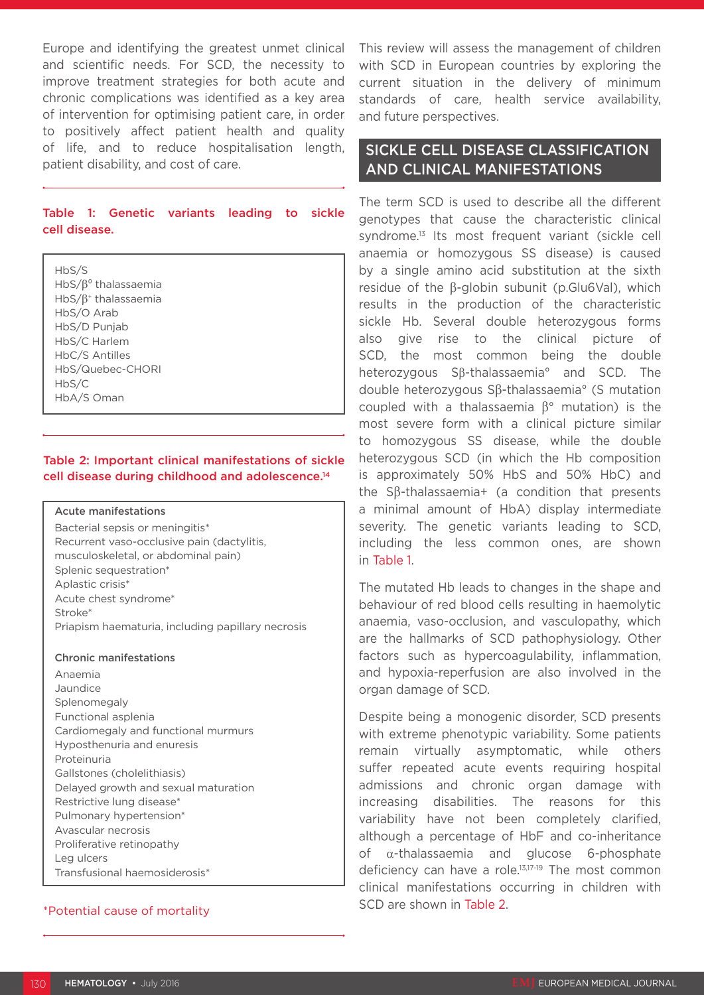Europe and identifying the greatest unmet clinical and scientific needs. For SCD, the necessity to improve treatment strategies for both acute and chronic complications was identified as a key area of intervention for optimising patient care, in order to positively affect patient health and quality of life, and to reduce hospitalisation length, patient disability, and cost of care.

#### Table 1: Genetic variants leading to sickle cell disease.

HbS/S HbS/β⁰ thalassaemia HbS/β+ thalassaemia HbS/O Arab HbS/D Punjab HbS/C Harlem HbC/S Antilles HbS/Quebec-CHORI HbS/C HbA/S Oman

#### Table 2: Important clinical manifestations of sickle cell disease during childhood and adolescence.14

Acute manifestations

Bacterial sepsis or meningitis\* Recurrent vaso-occlusive pain (dactylitis, musculoskeletal, or abdominal pain) Splenic sequestration\* Aplastic crisis\* Acute chest syndrome\* Stroke\* Priapism haematuria, including papillary necrosis

Chronic manifestations

Anaemia Jaundice Splenomegaly Functional asplenia Cardiomegaly and functional murmurs Hyposthenuria and enuresis Proteinuria Gallstones (cholelithiasis) Delayed growth and sexual maturation Restrictive lung disease\* Pulmonary hypertension\* Avascular necrosis Proliferative retinopathy Leg ulcers Transfusional haemosiderosis\*

### \*Potential cause of mortality

This review will assess the management of children with SCD in European countries by exploring the current situation in the delivery of minimum standards of care, health service availability, and future perspectives.

## SICKLE CELL DISEASE CLASSIFICATION AND CLINICAL MANIFESTATIONS

The term SCD is used to describe all the different genotypes that cause the characteristic clinical syndrome.13 Its most frequent variant (sickle cell anaemia or homozygous SS disease) is caused by a single amino acid substitution at the sixth residue of the β-globin subunit (p.Glu6Val), which results in the production of the characteristic sickle Hb. Several double heterozygous forms also give rise to the clinical picture of SCD, the most common being the double heterozygous Sβ-thalassaemia° and SCD. The double heterozygous Sβ-thalassaemia° (S mutation coupled with a thalassaemia β° mutation) is the most severe form with a clinical picture similar to homozygous SS disease, while the double heterozygous SCD (in which the Hb composition is approximately 50% HbS and 50% HbC) and the Sβ-thalassaemia+ (a condition that presents a minimal amount of HbA) display intermediate severity. The genetic variants leading to SCD, including the less common ones, are shown in Table 1.

The mutated Hb leads to changes in the shape and behaviour of red blood cells resulting in haemolytic anaemia, vaso-occlusion, and vasculopathy, which are the hallmarks of SCD pathophysiology. Other factors such as hypercoagulability, inflammation, and hypoxia-reperfusion are also involved in the organ damage of SCD.

Despite being a monogenic disorder, SCD presents with extreme phenotypic variability. Some patients remain virtually asymptomatic, while others suffer repeated acute events requiring hospital admissions and chronic organ damage with increasing disabilities. The reasons for this variability have not been completely clarified, although a percentage of HbF and co-inheritance of α-thalassaemia and glucose 6-phosphate deficiency can have a role.13,17-19 The most common clinical manifestations occurring in children with SCD are shown in Table 2.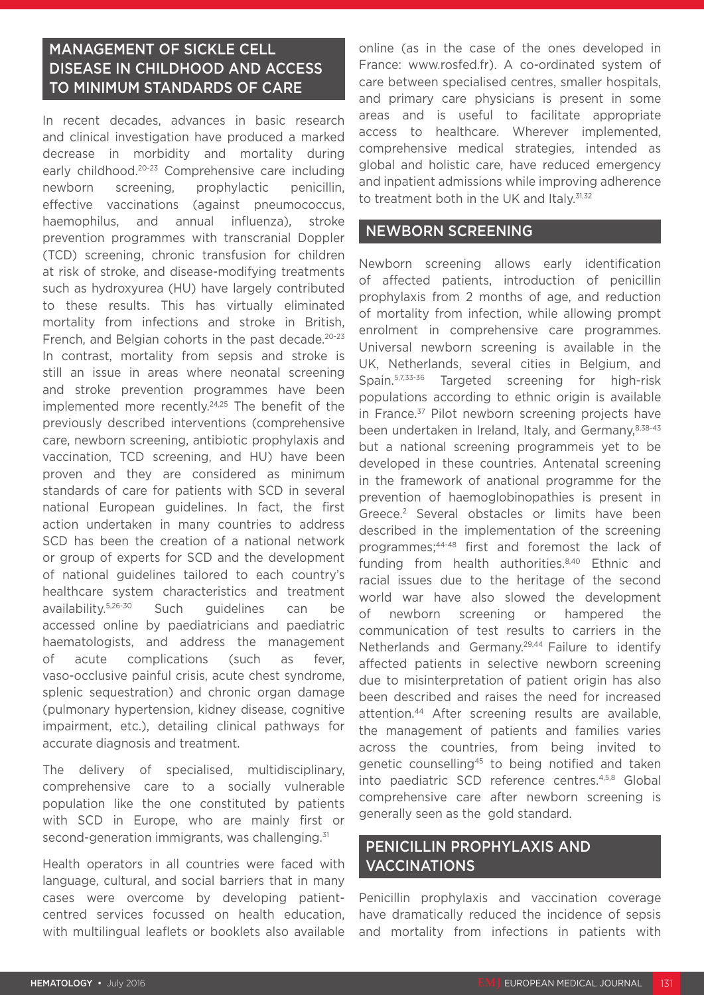# MANAGEMENT OF SICKLE CELL DISEASE IN CHILDHOOD AND ACCESS TO MINIMUM STANDARDS OF CARE

In recent decades, advances in basic research and clinical investigation have produced a marked decrease in morbidity and mortality during early childhood.20-23 Comprehensive care including newborn screening, prophylactic penicillin, effective vaccinations (against pneumococcus, haemophilus, and annual influenza), stroke prevention programmes with transcranial Doppler (TCD) screening, chronic transfusion for children at risk of stroke, and disease-modifying treatments such as hydroxyurea (HU) have largely contributed to these results. This has virtually eliminated mortality from infections and stroke in British, French, and Belgian cohorts in the past decade.<sup>20-23</sup> In contrast, mortality from sepsis and stroke is still an issue in areas where neonatal screening and stroke prevention programmes have been implemented more recently.24,25 The benefit of the previously described interventions (comprehensive care, newborn screening, antibiotic prophylaxis and vaccination, TCD screening, and HU) have been proven and they are considered as minimum standards of care for patients with SCD in several national European guidelines. In fact, the first action undertaken in many countries to address SCD has been the creation of a national network or group of experts for SCD and the development of national guidelines tailored to each country's healthcare system characteristics and treatment availability.5,26-30 Such guidelines can be accessed online by paediatricians and paediatric haematologists, and address the management of acute complications (such as fever, vaso-occlusive painful crisis, acute chest syndrome, splenic sequestration) and chronic organ damage (pulmonary hypertension, kidney disease, cognitive impairment, etc.), detailing clinical pathways for accurate diagnosis and treatment.

The delivery of specialised, multidisciplinary, comprehensive care to a socially vulnerable population like the one constituted by patients with SCD in Europe, who are mainly first or second-generation immigrants, was challenging.<sup>31</sup>

Health operators in all countries were faced with language, cultural, and social barriers that in many cases were overcome by developing patientcentred services focussed on health education, with multilingual leaflets or booklets also available online (as in the case of the ones developed in France: www.rosfed.fr). A co-ordinated system of care between specialised centres, smaller hospitals, and primary care physicians is present in some areas and is useful to facilitate appropriate access to healthcare. Wherever implemented, comprehensive medical strategies, intended as global and holistic care, have reduced emergency and inpatient admissions while improving adherence to treatment both in the UK and Italv.<sup>31,32</sup>

## NEWBORN SCREENING

Newborn screening allows early identification of affected patients, introduction of penicillin prophylaxis from 2 months of age, and reduction of mortality from infection, while allowing prompt enrolment in comprehensive care programmes. Universal newborn screening is available in the UK, Netherlands, several cities in Belgium, and Spain.5,7,33-36 Targeted screening for high-risk populations according to ethnic origin is available in France.<sup>37</sup> Pilot newborn screening projects have been undertaken in Ireland, Italy, and Germany, 8,38-43 but a national screening programmeis yet to be developed in these countries. Antenatal screening in the framework of anational programme for the prevention of haemoglobinopathies is present in Greece.2 Several obstacles or limits have been described in the implementation of the screening programmes;44-48 first and foremost the lack of funding from health authorities.8,40 Ethnic and racial issues due to the heritage of the second world war have also slowed the development of newborn screening or hampered the communication of test results to carriers in the Netherlands and Germany.29,44 Failure to identify affected patients in selective newborn screening due to misinterpretation of patient origin has also been described and raises the need for increased attention.44 After screening results are available, the management of patients and families varies across the countries, from being invited to genetic counselling<sup>45</sup> to being notified and taken into paediatric SCD reference centres.4,5,8 Global comprehensive care after newborn screening is generally seen as the gold standard.

## PENICILLIN PROPHYLAXIS AND VACCINATIONS

Penicillin prophylaxis and vaccination coverage have dramatically reduced the incidence of sepsis and mortality from infections in patients with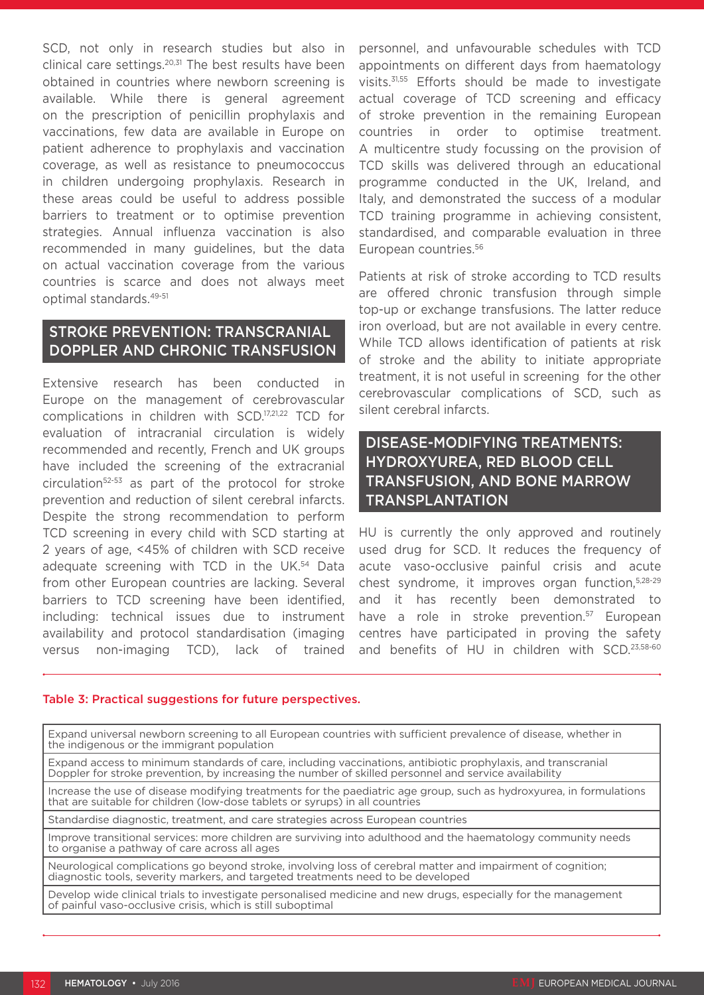SCD, not only in research studies but also in clinical care settings. $20,31$  The best results have been obtained in countries where newborn screening is available. While there is general agreement on the prescription of penicillin prophylaxis and vaccinations, few data are available in Europe on patient adherence to prophylaxis and vaccination coverage, as well as resistance to pneumococcus in children undergoing prophylaxis. Research in these areas could be useful to address possible barriers to treatment or to optimise prevention strategies. Annual influenza vaccination is also recommended in many guidelines, but the data on actual vaccination coverage from the various countries is scarce and does not always meet optimal standards.49-51

## STROKE PREVENTION: TRANSCRANIAL DOPPLER AND CHRONIC TRANSFUSION

Extensive research has been conducted in Europe on the management of cerebrovascular complications in children with SCD.17,21,22 TCD for evaluation of intracranial circulation is widely recommended and recently, French and UK groups have included the screening of the extracranial circulation52-53 as part of the protocol for stroke prevention and reduction of silent cerebral infarcts. Despite the strong recommendation to perform TCD screening in every child with SCD starting at 2 years of age, <45% of children with SCD receive adequate screening with TCD in the UK.<sup>54</sup> Data from other European countries are lacking. Several barriers to TCD screening have been identified, including: technical issues due to instrument availability and protocol standardisation (imaging versus non-imaging TCD), lack of trained

personnel, and unfavourable schedules with TCD appointments on different days from haematology visits.31,55 Efforts should be made to investigate actual coverage of TCD screening and efficacy of stroke prevention in the remaining European countries in order to optimise treatment. A multicentre study focussing on the provision of TCD skills was delivered through an educational programme conducted in the UK, Ireland, and Italy, and demonstrated the success of a modular TCD training programme in achieving consistent, standardised, and comparable evaluation in three European countries.56

Patients at risk of stroke according to TCD results are offered chronic transfusion through simple top-up or exchange transfusions. The latter reduce iron overload, but are not available in every centre. While TCD allows identification of patients at risk of stroke and the ability to initiate appropriate treatment, it is not useful in screening for the other cerebrovascular complications of SCD, such as silent cerebral infarcts.

# DISEASE-MODIFYING TREATMENTS: HYDROXYUREA, RED BLOOD CELL TRANSFUSION, AND BONE MARROW TRANSPLANTATION

HU is currently the only approved and routinely used drug for SCD. It reduces the frequency of acute vaso-occlusive painful crisis and acute chest syndrome, it improves organ function,5,28-29 and it has recently been demonstrated to have a role in stroke prevention.<sup>57</sup> European centres have participated in proving the safety and benefits of HU in children with SCD.23,58-60

#### Table 3: Practical suggestions for future perspectives.

Expand universal newborn screening to all European countries with sufficient prevalence of disease, whether in the indigenous or the immigrant population

Expand access to minimum standards of care, including vaccinations, antibiotic prophylaxis, and transcranial Doppler for stroke prevention, by increasing the number of skilled personnel and service availability

Increase the use of disease modifying treatments for the paediatric age group, such as hydroxyurea, in formulations that are suitable for children (low-dose tablets or syrups) in all countries

Standardise diagnostic, treatment, and care strategies across European countries

Improve transitional services: more children are surviving into adulthood and the haematology community needs to organise a pathway of care across all ages

Neurological complications go beyond stroke, involving loss of cerebral matter and impairment of cognition; diagnostic tools, severity markers, and targeted treatments need to be developed

Develop wide clinical trials to investigate personalised medicine and new drugs, especially for the management of painful vaso-occlusive crisis, which is still suboptimal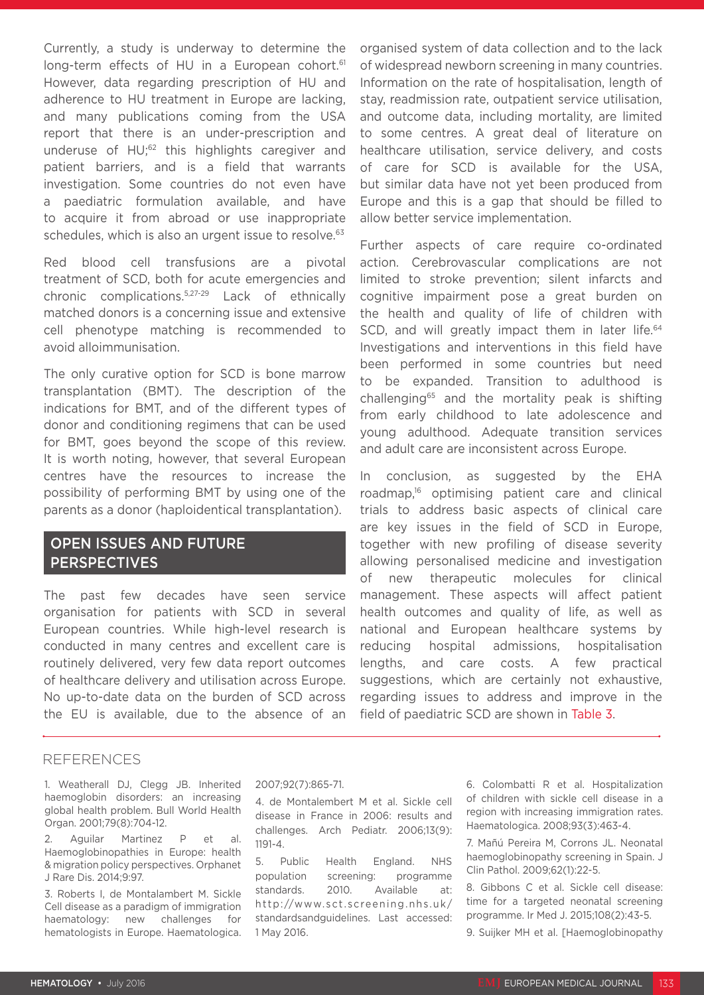Currently, a study is underway to determine the long-term effects of HU in a European cohort.<sup>61</sup> However, data regarding prescription of HU and adherence to HU treatment in Europe are lacking, and many publications coming from the USA report that there is an under-prescription and underuse of HU;62 this highlights caregiver and patient barriers, and is a field that warrants investigation. Some countries do not even have a paediatric formulation available, and have to acquire it from abroad or use inappropriate schedules, which is also an urgent issue to resolve.<sup>63</sup>

Red blood cell transfusions are a pivotal treatment of SCD, both for acute emergencies and chronic complications.5,27-29 Lack of ethnically matched donors is a concerning issue and extensive cell phenotype matching is recommended to avoid alloimmunisation.

The only curative option for SCD is bone marrow transplantation (BMT). The description of the indications for BMT, and of the different types of donor and conditioning regimens that can be used for BMT, goes beyond the scope of this review. It is worth noting, however, that several European centres have the resources to increase the possibility of performing BMT by using one of the parents as a donor (haploidentical transplantation).

## OPEN ISSUES AND FUTURE **PERSPECTIVES**

The past few decades have seen service organisation for patients with SCD in several European countries. While high-level research is conducted in many centres and excellent care is routinely delivered, very few data report outcomes of healthcare delivery and utilisation across Europe. No up-to-date data on the burden of SCD across the EU is available, due to the absence of an

## organised system of data collection and to the lack of widespread newborn screening in many countries. Information on the rate of hospitalisation, length of stay, readmission rate, outpatient service utilisation, and outcome data, including mortality, are limited to some centres. A great deal of literature on healthcare utilisation, service delivery, and costs of care for SCD is available for the USA, but similar data have not yet been produced from Europe and this is a gap that should be filled to allow better service implementation.

Further aspects of care require co-ordinated action. Cerebrovascular complications are not limited to stroke prevention; silent infarcts and cognitive impairment pose a great burden on the health and quality of life of children with SCD, and will greatly impact them in later life.<sup>64</sup> Investigations and interventions in this field have been performed in some countries but need to be expanded. Transition to adulthood is challenging65 and the mortality peak is shifting from early childhood to late adolescence and young adulthood. Adequate transition services and adult care are inconsistent across Europe.

In conclusion, as suggested by the EHA roadmap,16 optimising patient care and clinical trials to address basic aspects of clinical care are key issues in the field of SCD in Europe, together with new profiling of disease severity allowing personalised medicine and investigation of new therapeutic molecules for clinical management. These aspects will affect patient health outcomes and quality of life, as well as national and European healthcare systems by reducing hospital admissions, hospitalisation lengths, and care costs. A few practical suggestions, which are certainly not exhaustive, regarding issues to address and improve in the field of paediatric SCD are shown in Table 3.

## REFERENCES

1. Weatherall DJ, Clegg JB. Inherited haemoglobin disorders: an increasing global health problem. Bull World Health Organ. 2001;79(8):704-12.

2. Aguilar Martinez P et al. Haemoglobinopathies in Europe: health & migration policy perspectives. Orphanet J Rare Dis. 2014;9:97.

3. Roberts I, de Montalambert M. Sickle Cell disease as a paradigm of immigration haematology: new challenges for hematologists in Europe. Haematologica.

#### 2007;92(7):865-71.

4. de Montalembert M et al. Sickle cell disease in France in 2006: results and challenges. Arch Pediatr. 2006;13(9): 1191-4.

5. Public Health England. NHS population screening: programme standards. 2010. Available at: http://www.sct.screening.nhs.uk/ standardsandguidelines. Last accessed: 1 May 2016.

6. Colombatti R et al. Hospitalization of children with sickle cell disease in a region with increasing immigration rates. Haematologica. 2008;93(3):463-4.

7. Mañú Pereira M, Corrons JL. Neonatal haemoglobinopathy screening in Spain. J Clin Pathol. 2009;62(1):22-5.

8. Gibbons C et al. Sickle cell disease: time for a targeted neonatal screening programme. Ir Med J. 2015;108(2):43-5.

9. Suijker MH et al. [Haemoglobinopathy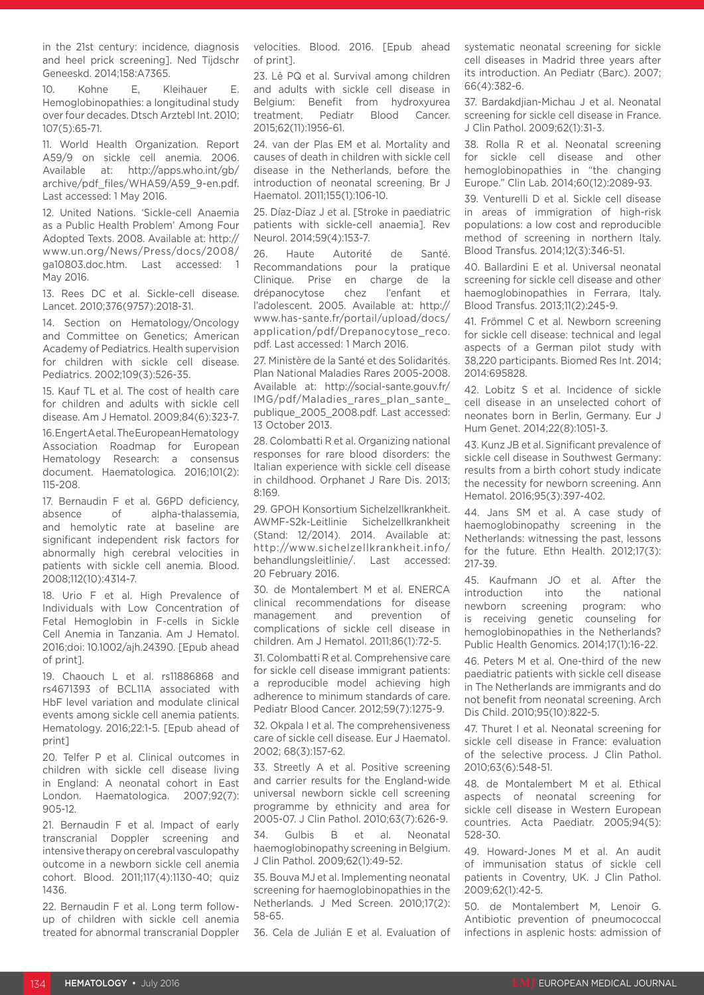in the 21st century: incidence, diagnosis and heel prick screening]. Ned Tijdschr Geneeskd. 2014;158:A7365.

10. Kohne E, Kleihauer E. Hemoglobinopathies: a longitudinal study over four decades. Dtsch Arztebl Int. 2010; 107(5):65-71.

11. World Health Organization. Report A59/9 on sickle cell anemia. 2006. Available at: http://apps.who.int/gb/ archive/pdf\_files/WHA59/A59\_9-en.pdf. Last accessed: 1 May 2016.

12. United Nations. 'Sickle-cell Anaemia as a Public Health Problem' Among Four Adopted Texts. 2008. Available at: http:// www.un.org/News/Press/docs/2008/ ga10803.doc.htm. Last accessed: 1 May 2016.

13. Rees DC et al. Sickle-cell disease. Lancet. 2010;376(9757):2018-31.

14. Section on Hematology/Oncology and Committee on Genetics; American Academy of Pediatrics. Health supervision for children with sickle cell disease. Pediatrics. 2002;109(3):526-35.

15. Kauf TL et al. The cost of health care for children and adults with sickle cell disease. Am J Hematol. 2009;84(6):323-7.

16. Engert A et al. The European Hematology Association Roadmap for European Hematology Research: a consensus document. Haematologica. 2016;101(2): 115-208.

17. Bernaudin F et al. G6PD deficiency, absence of alpha-thalassemia, and hemolytic rate at baseline are significant independent risk factors for abnormally high cerebral velocities in patients with sickle cell anemia. Blood. 2008;112(10):4314-7.

18. Urio F et al. High Prevalence of Individuals with Low Concentration of Fetal Hemoglobin in F-cells in Sickle Cell Anemia in Tanzania. Am J Hematol. 2016;doi: 10.1002/ajh.24390. [Epub ahead of print].

19. Chaouch L et al. rs11886868 and rs4671393 of BCL11A associated with HbF level variation and modulate clinical events among sickle cell anemia patients. Hematology. 2016;22:1-5. [Epub ahead of print]

20. Telfer P et al. Clinical outcomes in children with sickle cell disease living in England: A neonatal cohort in East London. Haematologica. 2007;92(7): 905-12.

21. Bernaudin F et al. Impact of early transcranial Doppler screening and intensive therapy on cerebral vasculopathy outcome in a newborn sickle cell anemia cohort. Blood. 2011;117(4):1130-40; quiz 1436.

22. Bernaudin F et al. Long term followup of children with sickle cell anemia treated for abnormal transcranial Doppler velocities. Blood. 2016. [Epub ahead of print].

23. Lê PQ et al. Survival among children and adults with sickle cell disease in Belgium: Benefit from hydroxyurea treatment. Pediatr Blood Cancer. 2015;62(11):1956-61.

24. van der Plas EM et al. Mortality and causes of death in children with sickle cell disease in the Netherlands, before the introduction of neonatal screening. Br J Haematol. 2011;155(1):106-10.

25. Díaz-Díaz J et al. [Stroke in paediatric patients with sickle-cell anaemia]. Rev Neurol. 2014;59(4):153-7.

26. Haute Autorité de Santé. Recommandations pour la pratique Clinique. Prise en charge de la drépanocytose chez l'enfant et l'adolescent. 2005. Available at: http:// www.has-sante.fr/portail/upload/docs/ application/pdf/Drepanocytose\_reco. pdf. Last accessed: 1 March 2016.

27. Ministère de la Santé et des Solidarités. Plan National Maladies Rares 2005-2008. Available at: http://social-sante.gouv.fr/ IMG/pdf/Maladies\_rares\_plan\_sante\_ publique 2005 2008.pdf. Last accessed: 13 October 2013.

28. Colombatti R et al. Organizing national responses for rare blood disorders: the Italian experience with sickle cell disease in childhood. Orphanet J Rare Dis. 2013; 8:169.

29. GPOH Konsortium Sichelzellkrankheit. AWMF-S2k-Leitlinie Sichelzellkrankheit (Stand: 12/2014). 2014. Available at: http://www.sichelzellkrankheit.info/ behandlungsleitlinie/. Last accessed: 20 February 2016.

30. de Montalembert M et al. ENERCA clinical recommendations for disease management and prevention of complications of sickle cell disease in children. Am J Hematol. 2011;86(1):72-5.

31. Colombatti R et al. Comprehensive care for sickle cell disease immigrant patients: a reproducible model achieving high adherence to minimum standards of care. Pediatr Blood Cancer. 2012;59(7):1275-9.

32. Okpala I et al. The comprehensiveness care of sickle cell disease. Eur J Haematol. 2002; 68(3):157-62.

33. Streetly A et al. Positive screening and carrier results for the England-wide universal newborn sickle cell screening programme by ethnicity and area for 2005-07. J Clin Pathol. 2010;63(7):626-9.

Gulbis B et al. Neonatal haemoglobinopathy screening in Belgium. J Clin Pathol. 2009;62(1):49-52.

35. Bouva MJ et al. Implementing neonatal screening for haemoglobinopathies in the Netherlands. J Med Screen. 2010;17(2): 58-65.

36. Cela de Julián E et al. Evaluation of

systematic neonatal screening for sickle cell diseases in Madrid three years after its introduction. An Pediatr (Barc). 2007; 66(4):382-6.

37. Bardakdjian-Michau J et al. Neonatal screening for sickle cell disease in France. J Clin Pathol. 2009;62(1):31-3.

38. Rolla R et al. Neonatal screening for sickle cell disease and other hemoglobinopathies in "the changing Europe." Clin Lab. 2014;60(12):2089-93.

39. Venturelli D et al. Sickle cell disease in areas of immigration of high-risk populations: a low cost and reproducible method of screening in northern Italy. Blood Transfus. 2014;12(3):346-51.

40. Ballardini E et al. Universal neonatal screening for sickle cell disease and other haemoglobinopathies in Ferrara, Italy. Blood Transfus. 2013;11(2):245-9.

41. Frömmel C et al. Newborn screening for sickle cell disease: technical and legal aspects of a German pilot study with 38,220 participants. Biomed Res Int. 2014; 2014:695828.

42. Lobitz S et al. Incidence of sickle cell disease in an unselected cohort of neonates born in Berlin, Germany. Eur J Hum Genet. 2014;22(8):1051-3.

43. Kunz JB et al. Significant prevalence of sickle cell disease in Southwest Germany: results from a birth cohort study indicate the necessity for newborn screening. Ann Hematol. 2016;95(3):397-402.

44. Jans SM et al. A case study of haemoglobinopathy screening in the Netherlands: witnessing the past, lessons for the future. Ethn Health. 2012;17(3): 217-39.

45. Kaufmann JO et al. After the introduction into the national newborn screening program: who is receiving genetic counseling for hemoglobinopathies in the Netherlands? Public Health Genomics. 2014;17(1):16-22.

46. Peters M et al. One-third of the new paediatric patients with sickle cell disease in The Netherlands are immigrants and do not benefit from neonatal screening. Arch Dis Child. 2010;95(10):822-5.

47. Thuret I et al. Neonatal screening for sickle cell disease in France: evaluation of the selective process. J Clin Pathol. 2010;63(6):548-51.

48. de Montalembert M et al. Ethical aspects of neonatal screening for sickle cell disease in Western European countries. Acta Paediatr. 2005;94(5): 528-30.

49. Howard-Jones M et al. An audit of immunisation status of sickle cell patients in Coventry, UK. J Clin Pathol. 2009;62(1):42-5.

50. de Montalembert M, Lenoir G. Antibiotic prevention of pneumococcal infections in asplenic hosts: admission of